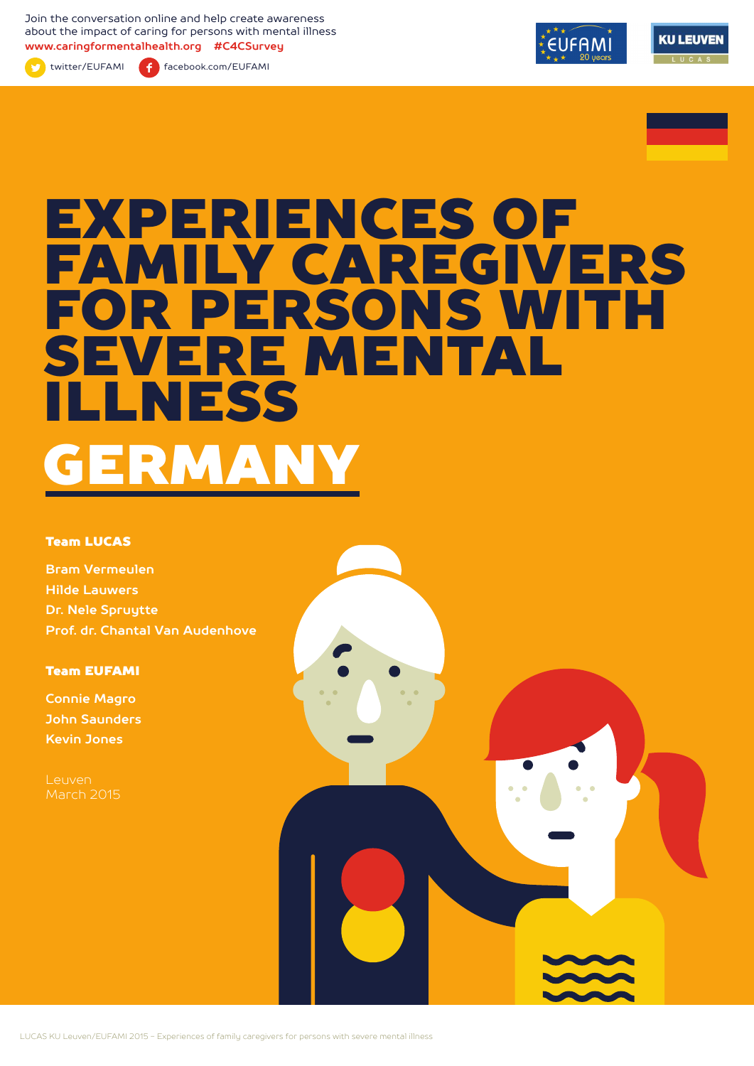Join the conversation online and help create awareness about the impact of caring for persons with mental illness **www.caringformentalhealth.org #C4CSurvey**



twitter/EUFAMI facebook.com/EUFAMI





# EXPERIENCES OF FAMILY CAREGIVERS FOR PERSONS WITH SEVERE MENTAL ILLNESS GERMANY

#### Team LUCAS

**Bram Vermeulen Hilde Lauwers Dr. Nele Spruytte Prof. dr. Chantal Van Audenhove**

Team EUFAMI

**Connie Magro John Saunders Kevin Jones**

Leuven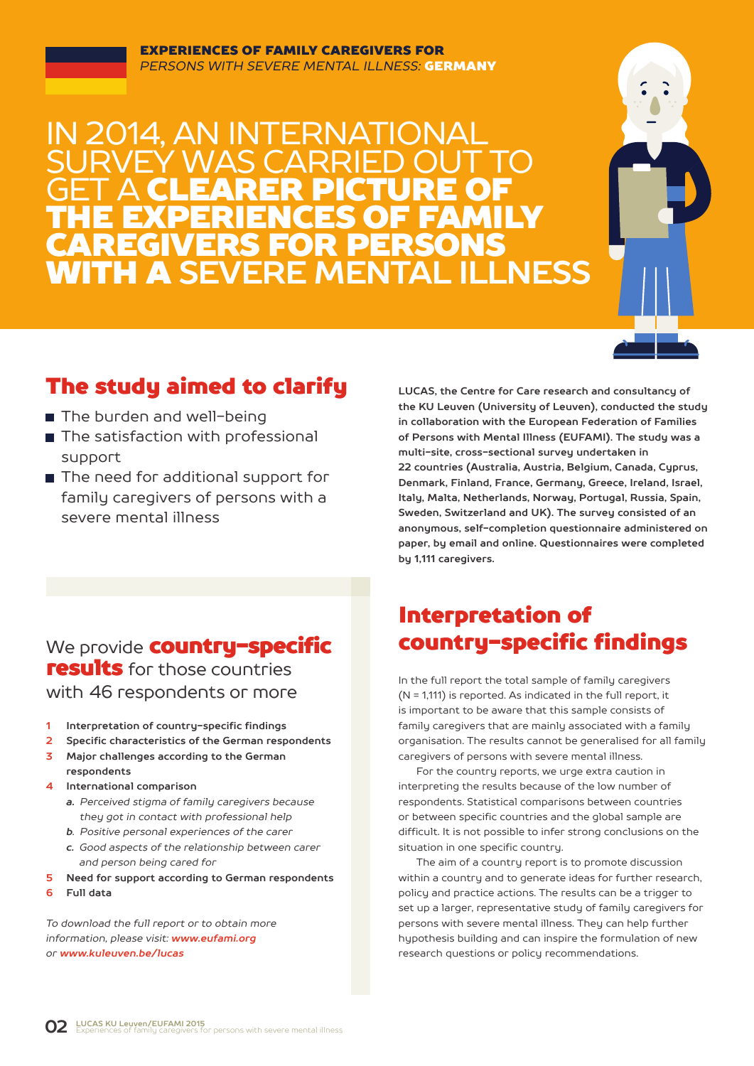#### EXPERIENCES OF FAMILY CAREGIVERS FOR *PERSONS WITH SEVERE MENTAL ILLNESS:* GERMANY

## J 2014, AN INTERNATION SURVEY WAS CARRIED OUT TO **GET A CLEARER PICTURE OF** THE EXPERIENCES OF FAMILY CAREGIVERS FOR PERSONS WITH A **SEVERE MENTAL ILLNESS**



### The study aimed to clarify

- The burden and well-being
- The satisfaction with professional support
- The need for additional support for family caregivers of persons with a severe mental illness

**LUCAS, the Centre for Care research and consultancy of the KU Leuven (University of Leuven), conducted the study in collaboration with the European Federation of Families of Persons with Mental Illness (EUFAMI). The study was a multi-site, cross-sectional survey undertaken in 22 countries (Australia, Austria, Belgium, Canada, Cyprus, Denmark, Finland, France, Germany, Greece, Ireland, Israel, Italy, Malta, Netherlands, Norway, Portugal, Russia, Spain, Sweden, Switzerland and UK). The survey consisted of an anonymous, self-completion questionnaire administered on paper, by email and online. Questionnaires were completed by 1,111 caregivers.** 

### We provide **countru-specific** results for those countries with 46 respondents or more

- **1 Interpretation of country-specific findings**
- **2 Specific characteristics of the German respondents**
- **3 Major challenges according to the German respondents**
- **4 International comparison**
	- *a. Perceived stigma of family caregivers because they got in contact with professional help*
	- *b. Positive personal experiences of the carer*
	- *c. Good aspects of the relationship between carer and person being cared for*
- **5 Need for support according to German respondents**
- **6 Full data**

*To download the full report or to obtain more information, please visit: www.eufami.org or www.kuleuven.be/lucas*

### Interpretation of country-specific findings

In the full report the total sample of family caregivers (N = 1,111) is reported. As indicated in the full report, it is important to be aware that this sample consists of family caregivers that are mainly associated with a family organisation. The results cannot be generalised for all family caregivers of persons with severe mental illness.

For the country reports, we urge extra caution in interpreting the results because of the low number of respondents. Statistical comparisons between countries or between specific countries and the global sample are difficult. It is not possible to infer strong conclusions on the situation in one specific country.

The aim of a country report is to promote discussion within a country and to generate ideas for further research, policy and practice actions. The results can be a trigger to set up a larger, representative study of family caregivers for persons with severe mental illness. They can help further hypothesis building and can inspire the formulation of new research questions or policy recommendations.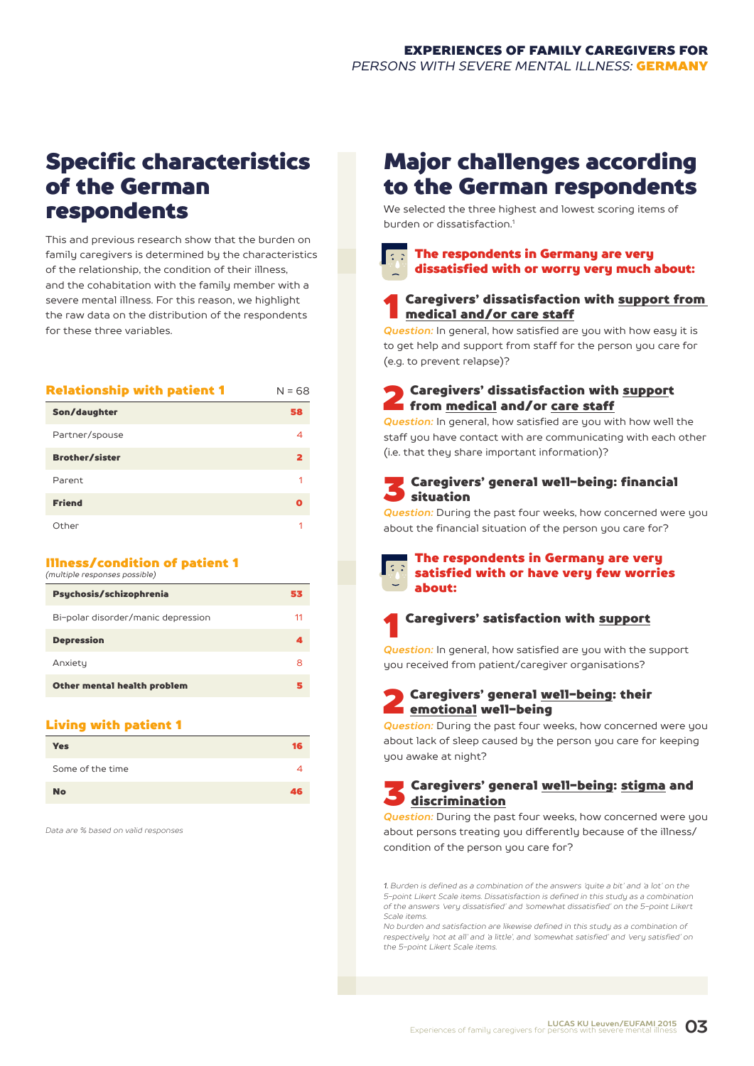### Specific characteristics of the German respondents

This and previous research show that the burden on family caregivers is determined by the characteristics of the relationship, the condition of their illness, and the cohabitation with the family member with a severe mental illness. For this reason, we highlight the raw data on the distribution of the respondents for these three variables.

| <b>Relationship with patient 1</b> | $N = 68$ |
|------------------------------------|----------|
| Son/daughter                       | 58       |
| Partner/spouse                     | 4        |
| <b>Brother/sister</b>              | 2        |
| Parent                             | 1        |
| <b>Friend</b>                      | O        |
| Other                              |          |

#### Illness/condition of patient 1 *(multiple responses possible)*

| Psychosis/schizophrenia            | 53 |
|------------------------------------|----|
| Bi-polar disorder/manic depression | 11 |
| <b>Depression</b>                  | 4  |
| Anxiety                            | 8  |
| Other mental health problem        | 5  |
|                                    |    |

#### Living with patient 1

| <b>Yes</b>       | 16 |
|------------------|----|
| Some of the time |    |
| <b>No</b>        | 46 |

*Data are % based on valid responses*

### Major challenges according to the German respondents

We selected the three highest and lowest scoring items of burden or dissatisfaction<sup>1</sup>

#### The respondents in Germany are very dissatisfied with or worry very much about:

#### Caregivers' dissatisfaction with support from medical and/or care staff

*Question:* In general, how satisfied are you with how easy it is to get help and support from staff for the person you care for (e.g. to prevent relapse)?

#### 2 Caregivers' dissatisfaction with support from medical and/or care staff

*Question:* In general, how satisfied are you with how well the staff you have contact with are communicating with each other (i.e. that they share important information)?

#### 3 Caregivers' general well-being: financial situation

*Question:* During the past four weeks, how concerned were you about the financial situation of the person you care for?

about:

### The respondents in Germany are very satisfied with or have very few worries



**Question:** In general, how satisfied are you with the support you received from patient/caregiver organisations?

#### Caregivers' general well-being: their emotional well-being

*Question:* During the past four weeks, how concerned were you about lack of sleep caused by the person you care for keeping you awake at night?

#### 3 Caregivers' general well-being: stigma and discrimination

*Question:* During the past four weeks, how concerned were you about persons treating you differently because of the illness/ condition of the person you care for?

*1. Burden is defined as a combination of the answers 'quite a bit' and 'a lot' on the 5-point Likert Scale items. Dissatisfaction is defined in this study as a combination of the answers 'very dissatisfied' and 'somewhat dissatisfied' on the 5-point Likert Scale items.*

*No burden and satisfaction are likewise defined in this study as a combination of respectively 'not at all' and 'a little', and 'somewhat satisfied' and 'very satisfied' on the 5-point Likert Scale items.*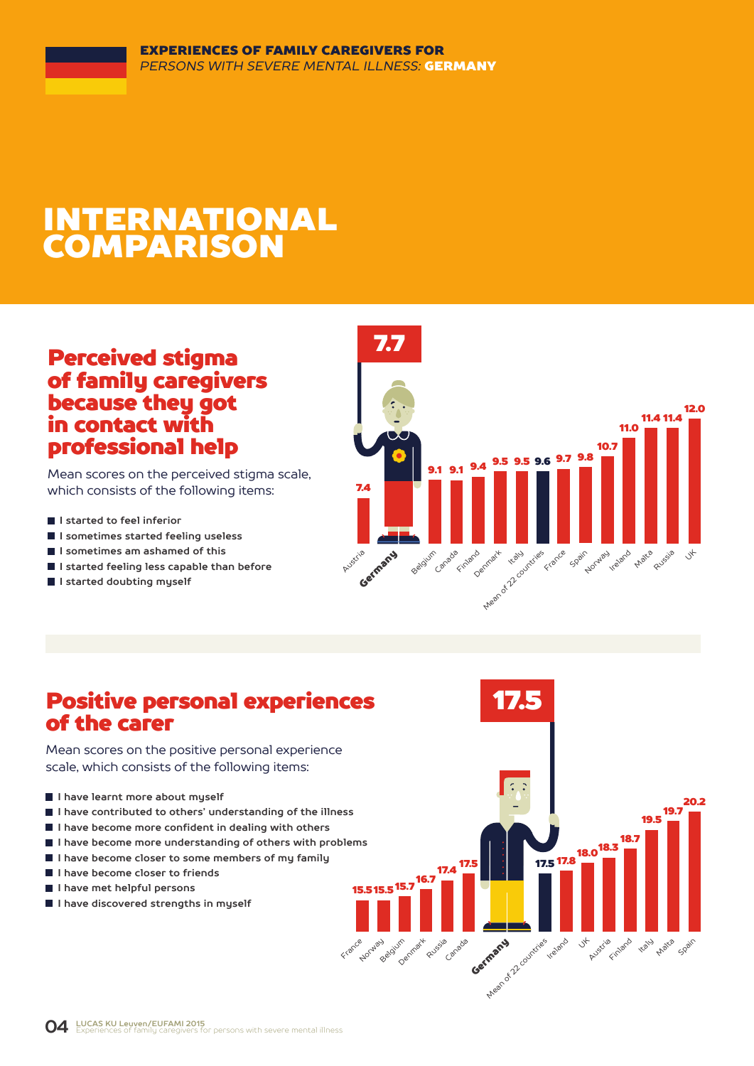# INTERNATIONAL COMPARISON

### Perceived stigma of family caregivers because they got in contact with professional help

Mean scores on the perceived stigma scale, which consists of the following items:

- **I** I started to feel inferior
- **I sometimes started feeling useless**
- **I sometimes am ashamed of this**
- **I started feeling less capable than before**
- **I started doubting myself**



### Positive personal experiences of the carer

Mean scores on the positive personal experience scale, which consists of the following items:

- **I have learnt more about myself**
- **I have contributed to others' understanding of the illness**
- **I have become more confident in dealing with others**
- **I have become more understanding of others with problems**
- **I have become closer to some members of my family**
- **I have become closer to friends**
- **I have met helpful persons**
- **I have discovered strengths in myself**

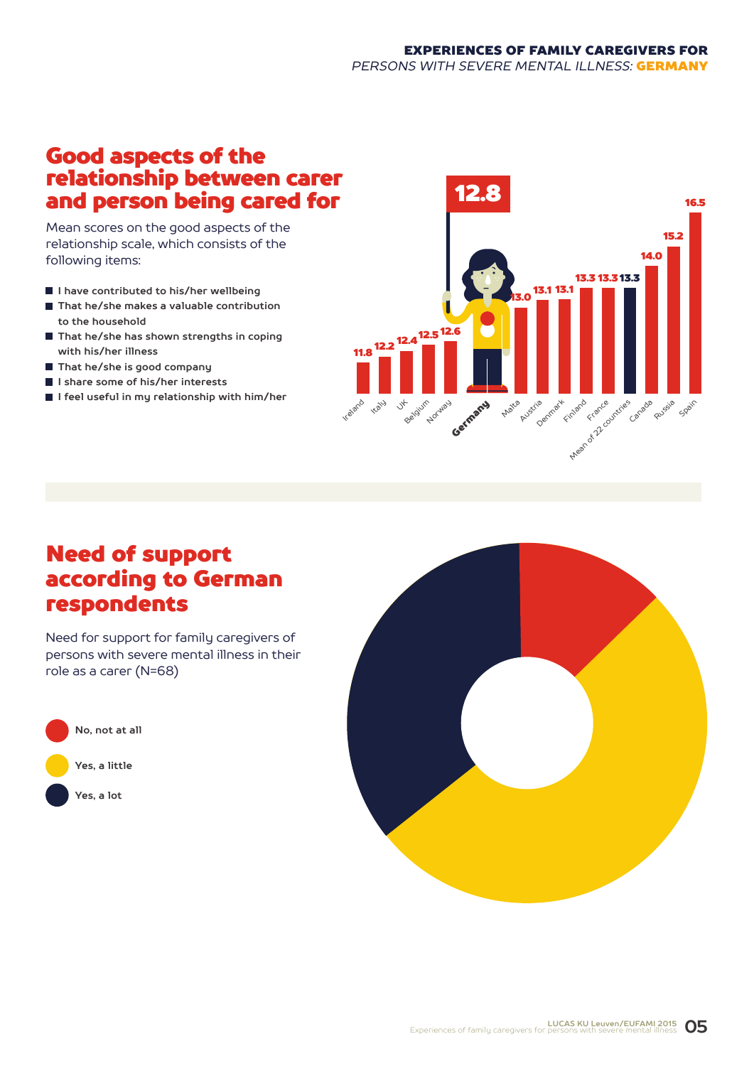#### EXPERIENCES OF FAMILY CAREGIVERS FOR *PERSONS WITH SEVERE MENTAL ILLNESS:* GERMANY

### Good aspects of the relationship between carer and person being cared for

Mean scores on the good aspects of the relationship scale, which consists of the following items:

- **I have contributed to his/her wellbeing**
- **That he/she makes a valuable contribution to the household**
- **That he/she has shown strengths in coping with his/her illness**
- **That he/she is good company**
- **I share some of his/her interests**
- **I feel useful in my relationship with him/her**



### Need of support according to German respondents

Need for support for family caregivers of persons with severe mental illness in their role as a carer (N=68)



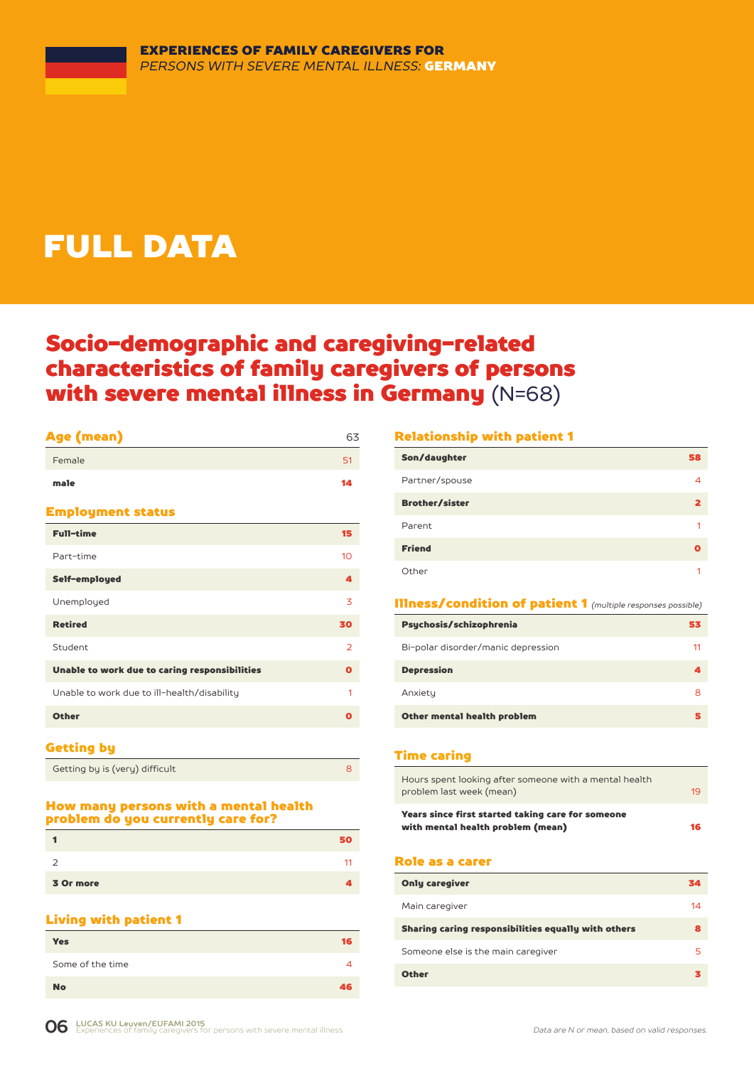# FULL DATA

### Socio-demographic and caregiving-related characteristics of family caregivers of persons with severe mental illness in Germany (N=68)

#### Age (mean) 63

| Female                                        | 51             |
|-----------------------------------------------|----------------|
| male                                          | 14             |
| <b>Employment status</b>                      |                |
| <b>Full-time</b>                              | 15             |
| Part-time                                     | 10             |
| Self-employed                                 | 4              |
| Unemployed                                    | 3              |
| <b>Retired</b>                                | 30             |
| Student                                       | $\overline{2}$ |
| Unable to work due to caring responsibilities | O              |
| Unable to work due to ill-health/disability   | 1              |
| <b>Other</b>                                  | O              |
|                                               |                |

#### Getting by

| Getting by is (very) difficult |  |
|--------------------------------|--|
|                                |  |

#### How many persons with a mental health problem do you currently care for?

|           | Ю  |
|-----------|----|
| ۔         | 11 |
| 3 Or more |    |

#### Living with patient 1

| <b>Yes</b>       | 16 |
|------------------|----|
| Some of the time | 4  |
| <b>No</b>        | 46 |

#### Relationship with patient 1

| Son/daughter          | 58 |
|-----------------------|----|
| Partner/spouse        |    |
| <b>Brother/sister</b> |    |
| Parent                |    |
| <b>Friend</b>         |    |
| Other                 |    |

#### Illness/condition of patient 1 *(multiple responses possible)*

| Psychosis/schizophrenia            | 53 |
|------------------------------------|----|
| Bi-polar disorder/manic depression | 11 |
| <b>Depression</b>                  |    |
| Anxiety                            | 8  |
| Other mental health problem        |    |

#### Time caring

| Years since first started taking care for someone<br>with mental health problem (mean) | 16 |
|----------------------------------------------------------------------------------------|----|
| Hours spent looking after someone with a mental health<br>problem last week (mean)     | 19 |

#### Role as a carer

| <b>Only caregiver</b>                               | 34 |
|-----------------------------------------------------|----|
| Main caregiver                                      | 14 |
| Sharing caring responsibilities equally with others | 8  |
| Someone else is the main caregiver                  | 5  |
| <b>Other</b>                                        |    |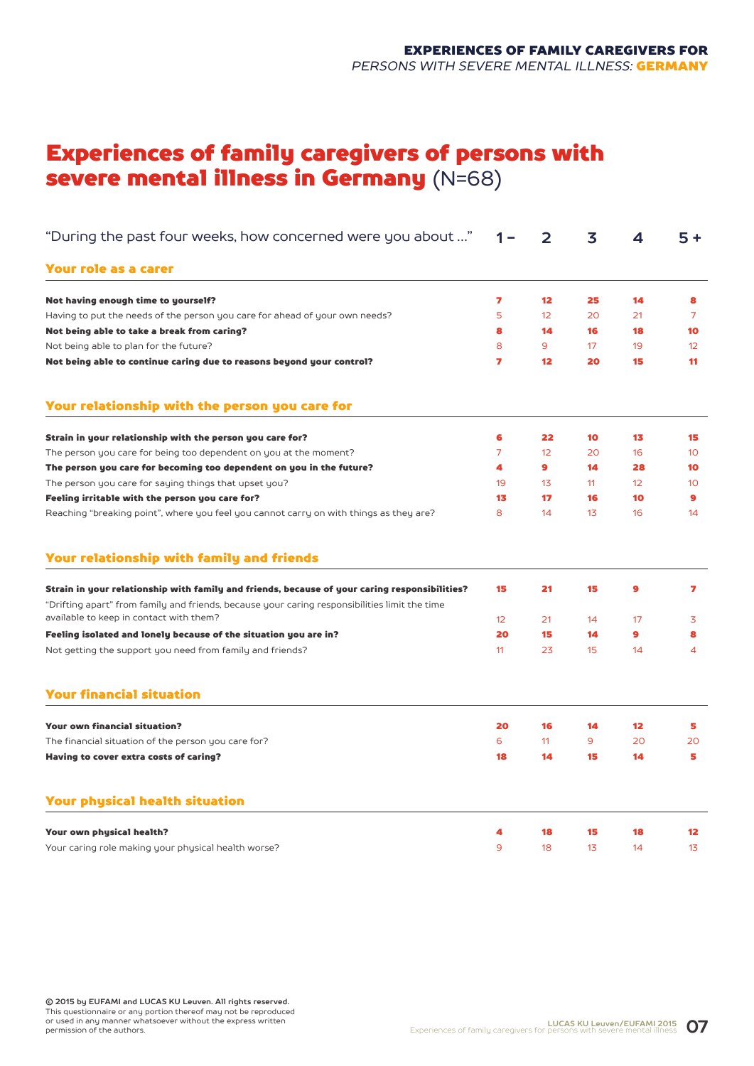### Experiences of family caregivers of persons with severe mental illness in Germany (N=68)

| "During the past four weeks, how concerned were you about "                                                                                                                                    | 1 –               | 2               | 3  | 4                 | $5+$            |
|------------------------------------------------------------------------------------------------------------------------------------------------------------------------------------------------|-------------------|-----------------|----|-------------------|-----------------|
| Your role as a carer                                                                                                                                                                           |                   |                 |    |                   |                 |
| Not having enough time to yourself?                                                                                                                                                            | 7                 | 12              | 25 | 14                | 8               |
| Having to put the needs of the person you care for ahead of your own needs?                                                                                                                    | 5                 | 12              | 20 | 21                | 7               |
| Not being able to take a break from caring?                                                                                                                                                    | 8                 | 14              | 16 | 18                | 10              |
| Not being able to plan for the future?                                                                                                                                                         | 8                 | 9               | 17 | 19                | 12              |
| Not being able to continue caring due to reasons beyond your control?                                                                                                                          | 7                 | 12              | 20 | 15                | 11              |
| Your relationship with the person you care for                                                                                                                                                 |                   |                 |    |                   |                 |
| Strain in your relationship with the person you care for?                                                                                                                                      | 6                 | 22              | 10 | 13                | 15              |
| The person you care for being too dependent on you at the moment?                                                                                                                              | $\overline{7}$    | 12 <sup>°</sup> | 20 | 16                | 10 <sup>°</sup> |
| The person you care for becoming too dependent on you in the future?                                                                                                                           | 4                 | 9               | 14 | 28                | 10              |
| The person you care for saying things that upset you?                                                                                                                                          | 19                | 13              | 11 | 12                | 10 <sup>1</sup> |
| Feeling irritable with the person you care for?                                                                                                                                                | 13                | 17              | 16 | 10                | 9               |
| Reaching "breaking point", where you feel you cannot carry on with things as they are?                                                                                                         | 8                 | 14              | 13 | 16                | 14              |
| Your relationship with family and friends                                                                                                                                                      |                   |                 |    |                   |                 |
| Strain in your relationship with family and friends, because of your caring responsibilities?<br>"Drifting apart" from family and friends, because your caring responsibilities limit the time | 15                | 21              | 15 | 9                 | 7               |
| available to keep in contact with them?                                                                                                                                                        | $12 \overline{ }$ | 21              | 14 | 17                | 3               |
| Feeling isolated and lonely because of the situation you are in?                                                                                                                               | 20                | 15              | 14 | $\bullet$         | 8               |
| Not getting the support you need from family and friends?                                                                                                                                      | 11                | 23              | 15 | 14                | 4               |
| <b>Your financial situation</b>                                                                                                                                                                |                   |                 |    |                   |                 |
| <b>Your own financial situation?</b>                                                                                                                                                           | 20                | 16              | 14 | $12 \overline{ }$ | 5               |
| The financial situation of the person you care for?                                                                                                                                            | 6                 | 11              | 9  | 20                | 20              |
| Having to cover extra costs of caring?                                                                                                                                                         | 18                | 14              | 15 | 14                | 5               |
| Your physical health situation                                                                                                                                                                 |                   |                 |    |                   |                 |
| Your own physical health?                                                                                                                                                                      | 4                 | 18              | 15 | 18                | $12 \,$         |
| Your caring role making your physical health worse?                                                                                                                                            | 9                 | 18              | 13 | 14                | 13              |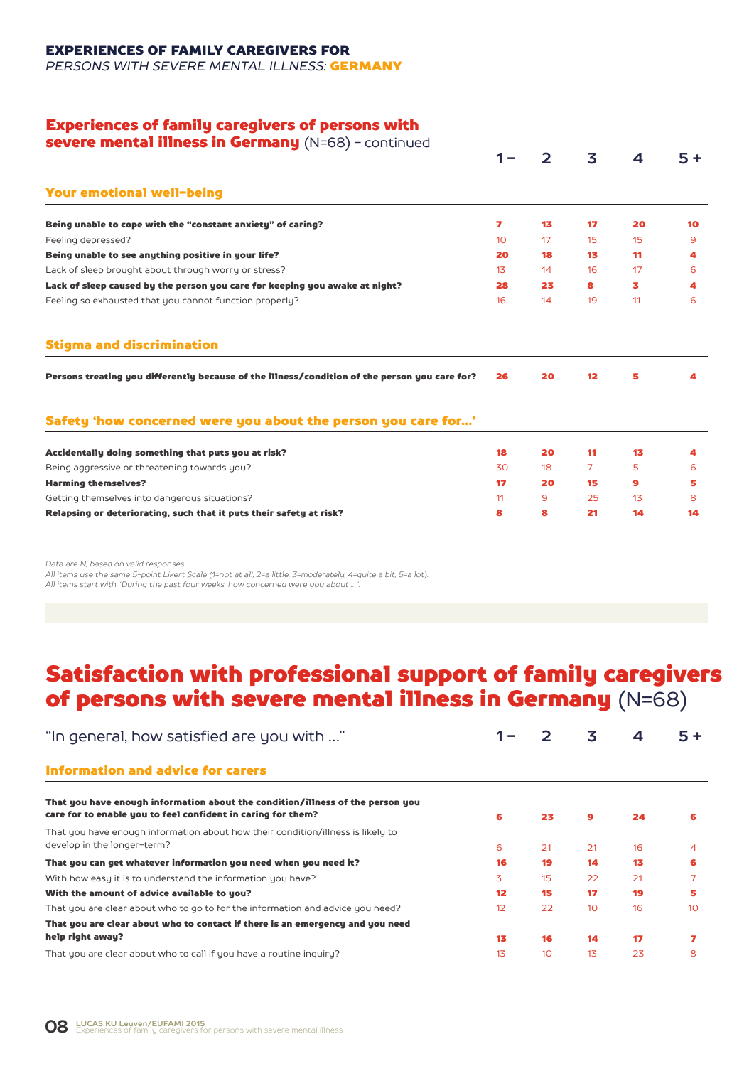EXPERIENCES OF FAMILY CAREGIVERS FOR

*PERSONS WITH SEVERE MENTAL ILLNESS:* GERMANY

#### Experiences of family caregivers of persons with

| severe mental illness in Germany (N=68) - continued                                           |                 |    |                 |    |      |
|-----------------------------------------------------------------------------------------------|-----------------|----|-----------------|----|------|
|                                                                                               |                 | フ  | 3               | 4  | $5+$ |
| <b>Your emotional well-being</b>                                                              |                 |    |                 |    |      |
| Being unable to cope with the "constant anxiety" of caring?                                   | 7               | 13 | 17              | 20 | 10   |
| Feeling depressed?                                                                            | 10 <sup>°</sup> | 17 | 15              | 15 | 9    |
| Being unable to see anything positive in your life?                                           | 20              | 18 | 13              | 11 | 4    |
| Lack of sleep brought about through worry or stress?                                          | 13              | 14 | 16              | 17 | 6    |
| Lack of sleep caused by the person you care for keeping you awake at night?                   | 28              | 23 | 8               | 3  | 4    |
| Feeling so exhausted that you cannot function properly?                                       | 16              | 14 | 19              | 11 | 6    |
| <b>Stigma and discrimination</b>                                                              |                 |    |                 |    |      |
| Persons treating you differently because of the illness/condition of the person you care for? | 26              | 20 | 12 <sup>2</sup> | 5  |      |
| Safety 'how concerned were you about the person you care for'                                 |                 |    |                 |    |      |
|                                                                                               |                 |    |                 |    |      |
| Accidentally doing something that puts you at risk?                                           | 18              | 20 | 11              | 13 | 4    |
| Being aggressive or threatening towards you?                                                  | 30              | 18 | 7               | 5  | 6    |
| <b>Harming themselves?</b>                                                                    | 17 <sub>2</sub> | 20 | 15              | 9  | 5    |
| Getting themselves into dangerous situations?                                                 | 11              | 9  | 25              | 13 | 8    |

*Data are N, based on valid responses.* 

*All items use the same 5-point Likert Scale (1=not at all, 2=a little, 3=moderately, 4=quite a bit, 5=a lot). All items start with "During the past four weeks, how concerned were you about …".*

### Satisfaction with professional support of family caregivers of persons with severe mental illness in Germany (N=68)

| "In general, how satisfied are you with "                                                                                                      |                   |    | 3              | 4  | $5 +$ |
|------------------------------------------------------------------------------------------------------------------------------------------------|-------------------|----|----------------|----|-------|
| <b>Information and advice for carers</b>                                                                                                       |                   |    |                |    |       |
| That you have enough information about the condition/illness of the person you<br>care for to enable you to feel confident in caring for them? | 6                 | 23 | $\mathbf{9}$   | 24 | 6     |
| That you have enough information about how their condition/illness is likely to<br>develop in the longer-term?                                 | 6                 | 21 | 21             | 16 | 4     |
| That you can get whatever information you need when you need it?                                                                               | 16                | 19 | 14             | 13 | 6     |
| With how easy it is to understand the information you have?                                                                                    | 3                 | 15 | 22             | 21 |       |
| With the amount of advice available to you?                                                                                                    | $12 \overline{ }$ | 15 | 17             | 19 | 5     |
| That you are clear about who to go to for the information and advice you need?                                                                 | 12                | 22 | 10             | 16 | 10    |
| That you are clear about who to contact if there is an emergency and you need                                                                  |                   |    |                |    |       |
| help right away?                                                                                                                               | 13                | 16 | 14             | 17 |       |
| That you are clear about who to call if you have a routine inquiry?                                                                            | 1 <sub>3</sub>    | 10 | 1 <sub>3</sub> | 23 | 8     |